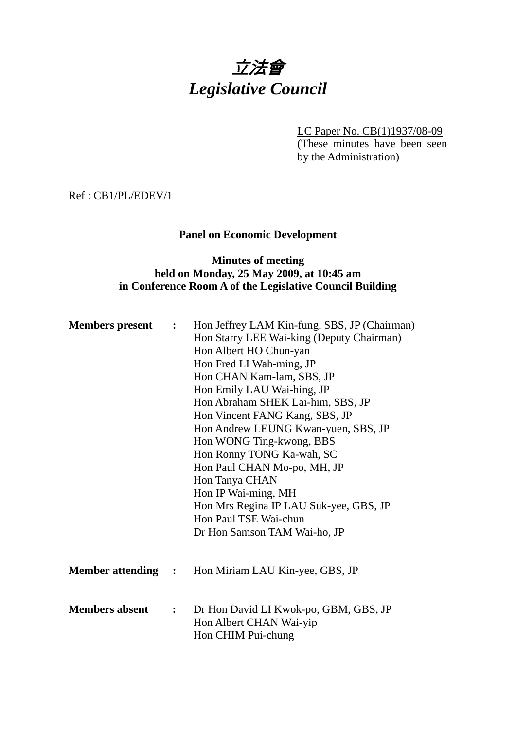# 立法會 *Legislative Council*

LC Paper No. CB(1)1937/08-09 (These minutes have been seen by the Administration)

Ref : CB1/PL/EDEV/1

# **Panel on Economic Development**

# **Minutes of meeting held on Monday, 25 May 2009, at 10:45 am in Conference Room A of the Legislative Council Building**

| <b>Members</b> present    | $\ddot{\bullet}$ | Hon Jeffrey LAM Kin-fung, SBS, JP (Chairman)<br>Hon Starry LEE Wai-king (Deputy Chairman)<br>Hon Albert HO Chun-yan<br>Hon Fred LI Wah-ming, JP<br>Hon CHAN Kam-lam, SBS, JP<br>Hon Emily LAU Wai-hing, JP<br>Hon Abraham SHEK Lai-him, SBS, JP<br>Hon Vincent FANG Kang, SBS, JP<br>Hon Andrew LEUNG Kwan-yuen, SBS, JP<br>Hon WONG Ting-kwong, BBS<br>Hon Ronny TONG Ka-wah, SC<br>Hon Paul CHAN Mo-po, MH, JP<br>Hon Tanya CHAN<br>Hon IP Wai-ming, MH<br>Hon Mrs Regina IP LAU Suk-yee, GBS, JP<br>Hon Paul TSE Wai-chun<br>Dr Hon Samson TAM Wai-ho, JP |
|---------------------------|------------------|--------------------------------------------------------------------------------------------------------------------------------------------------------------------------------------------------------------------------------------------------------------------------------------------------------------------------------------------------------------------------------------------------------------------------------------------------------------------------------------------------------------------------------------------------------------|
| <b>Member attending :</b> |                  | Hon Miriam LAU Kin-yee, GBS, JP                                                                                                                                                                                                                                                                                                                                                                                                                                                                                                                              |
| <b>Members absent</b>     | $\mathbf{L}$     | Dr Hon David LI Kwok-po, GBM, GBS, JP<br>Hon Albert CHAN Wai-yip<br>Hon CHIM Pui-chung                                                                                                                                                                                                                                                                                                                                                                                                                                                                       |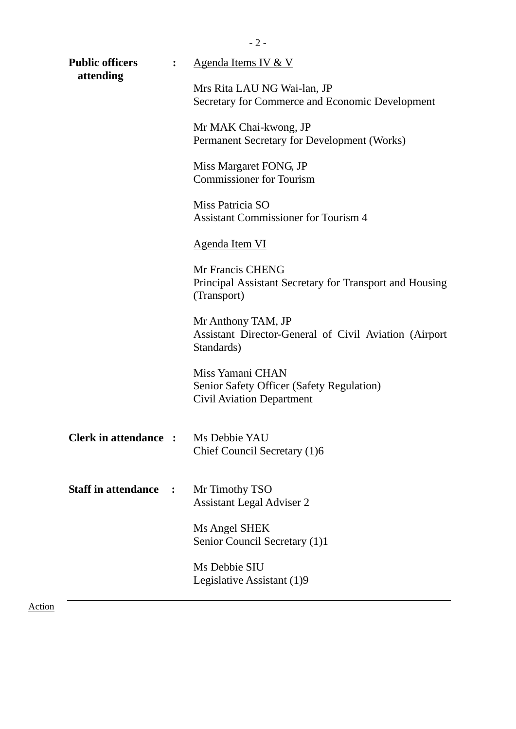| <b>Public officers</b>                     | $\ddot{\cdot}$ | Agenda Items IV & V                                                                               |
|--------------------------------------------|----------------|---------------------------------------------------------------------------------------------------|
| attending                                  |                | Mrs Rita LAU NG Wai-lan, JP<br>Secretary for Commerce and Economic Development                    |
|                                            |                | Mr MAK Chai-kwong, JP<br>Permanent Secretary for Development (Works)                              |
|                                            |                | Miss Margaret FONG, JP<br><b>Commissioner for Tourism</b>                                         |
|                                            |                | Miss Patricia SO<br><b>Assistant Commissioner for Tourism 4</b>                                   |
|                                            |                | <b>Agenda Item VI</b>                                                                             |
|                                            |                | Mr Francis CHENG<br>Principal Assistant Secretary for Transport and Housing<br>(Transport)        |
|                                            |                | Mr Anthony TAM, JP<br>Assistant Director-General of Civil Aviation (Airport<br>Standards)         |
|                                            |                | Miss Yamani CHAN<br>Senior Safety Officer (Safety Regulation)<br><b>Civil Aviation Department</b> |
| <b>Clerk in attendance :</b> Ms Debbie YAU |                | Chief Council Secretary (1)6                                                                      |
| <b>Staff in attendance</b>                 |                | Mr Timothy TSO<br><b>Assistant Legal Adviser 2</b>                                                |
|                                            |                | Ms Angel SHEK<br>Senior Council Secretary (1)1                                                    |
|                                            |                | Ms Debbie SIU<br>Legislative Assistant (1)9                                                       |
|                                            |                |                                                                                                   |

Action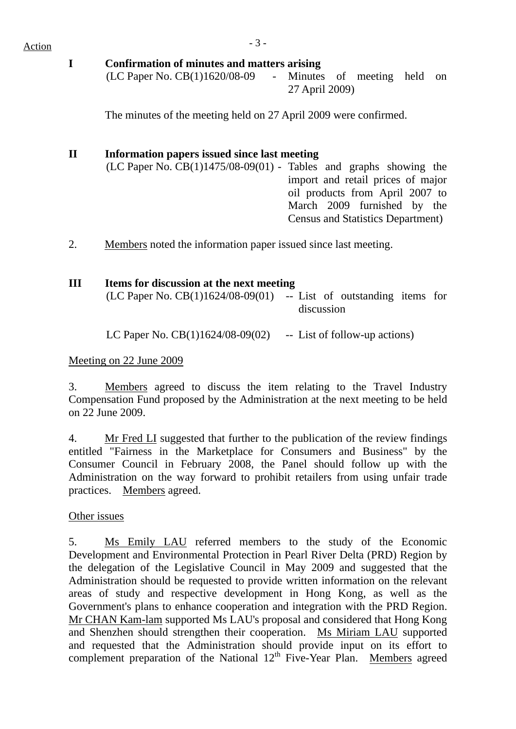#### **I Confirmation of minutes and matters arising**

(LC Paper No. CB(1)1620/08-09 - Minutes of meeting held on 27 April 2009)

The minutes of the meeting held on 27 April 2009 were confirmed.

# **II Information papers issued since last meeting**

 $(LC$  Paper No.  $CB(1)1475/08-09(01)$  - Tables and graphs showing the import and retail prices of major oil products from April 2007 to March 2009 furnished by the Census and Statistics Department)

2. Members noted the information paper issued since last meeting.

# **III Items for discussion at the next meeting**

| (LC Paper No. $CB(1)1624/08-09(01)$ -- List of outstanding items for |            |
|----------------------------------------------------------------------|------------|
|                                                                      | discussion |

LC Paper No.  $CB(1)1624/08-09(02)$  -- List of follow-up actions)

### Meeting on 22 June 2009

3. Members agreed to discuss the item relating to the Travel Industry Compensation Fund proposed by the Administration at the next meeting to be held on 22 June 2009.

4. Mr Fred LI suggested that further to the publication of the review findings entitled "Fairness in the Marketplace for Consumers and Business" by the Consumer Council in February 2008, the Panel should follow up with the Administration on the way forward to prohibit retailers from using unfair trade practices. Members agreed.

# Other issues

5. Ms Emily LAU referred members to the study of the Economic Development and Environmental Protection in Pearl River Delta (PRD) Region by the delegation of the Legislative Council in May 2009 and suggested that the Administration should be requested to provide written information on the relevant areas of study and respective development in Hong Kong, as well as the Government's plans to enhance cooperation and integration with the PRD Region. Mr CHAN Kam-lam supported Ms LAU's proposal and considered that Hong Kong and Shenzhen should strengthen their cooperation. Ms Miriam LAU supported and requested that the Administration should provide input on its effort to complement preparation of the National  $12<sup>th</sup>$  Five-Year Plan. Members agreed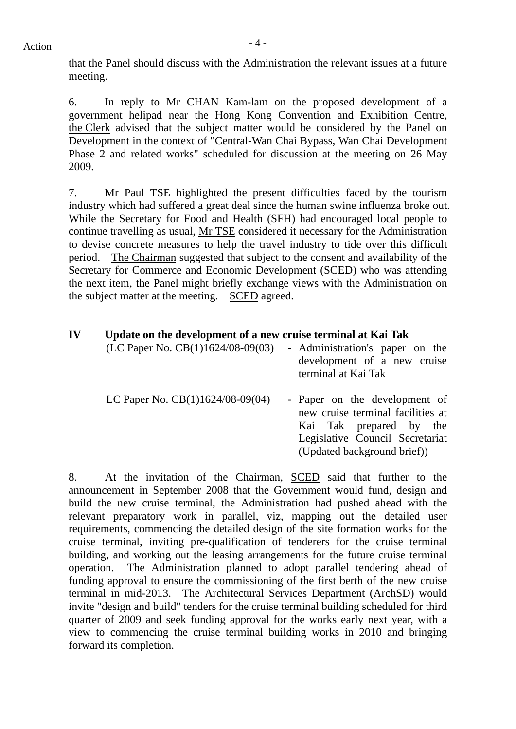that the Panel should discuss with the Administration the relevant issues at a future meeting.

6. In reply to Mr CHAN Kam-lam on the proposed development of a government helipad near the Hong Kong Convention and Exhibition Centre, the Clerk advised that the subject matter would be considered by the Panel on Development in the context of "Central-Wan Chai Bypass, Wan Chai Development Phase 2 and related works" scheduled for discussion at the meeting on 26 May 2009.

7. Mr Paul TSE highlighted the present difficulties faced by the tourism industry which had suffered a great deal since the human swine influenza broke out. While the Secretary for Food and Health (SFH) had encouraged local people to continue travelling as usual, Mr TSE considered it necessary for the Administration to devise concrete measures to help the travel industry to tide over this difficult period. The Chairman suggested that subject to the consent and availability of the Secretary for Commerce and Economic Development (SCED) who was attending the next item, the Panel might briefly exchange views with the Administration on the subject matter at the meeting. SCED agreed.

| IV | Update on the development of a new cruise terminal at Kai Tak |
|----|---------------------------------------------------------------|
|----|---------------------------------------------------------------|

| (LC Paper No. CB(1)1624/08-09(03)  | - Administration's paper on the<br>development of a new cruise<br>terminal at Kai Tak                                                                           |
|------------------------------------|-----------------------------------------------------------------------------------------------------------------------------------------------------------------|
| LC Paper No. $CB(1)1624/08-09(04)$ | - Paper on the development of<br>new cruise terminal facilities at<br>Kai Tak prepared by the<br>Legislative Council Secretariat<br>(Updated background brief)) |

8. At the invitation of the Chairman, SCED said that further to the announcement in September 2008 that the Government would fund, design and build the new cruise terminal, the Administration had pushed ahead with the relevant preparatory work in parallel, viz, mapping out the detailed user requirements, commencing the detailed design of the site formation works for the cruise terminal, inviting pre-qualification of tenderers for the cruise terminal building, and working out the leasing arrangements for the future cruise terminal operation. The Administration planned to adopt parallel tendering ahead of funding approval to ensure the commissioning of the first berth of the new cruise terminal in mid-2013. The Architectural Services Department (ArchSD) would invite "design and build" tenders for the cruise terminal building scheduled for third quarter of 2009 and seek funding approval for the works early next year, with a view to commencing the cruise terminal building works in 2010 and bringing forward its completion.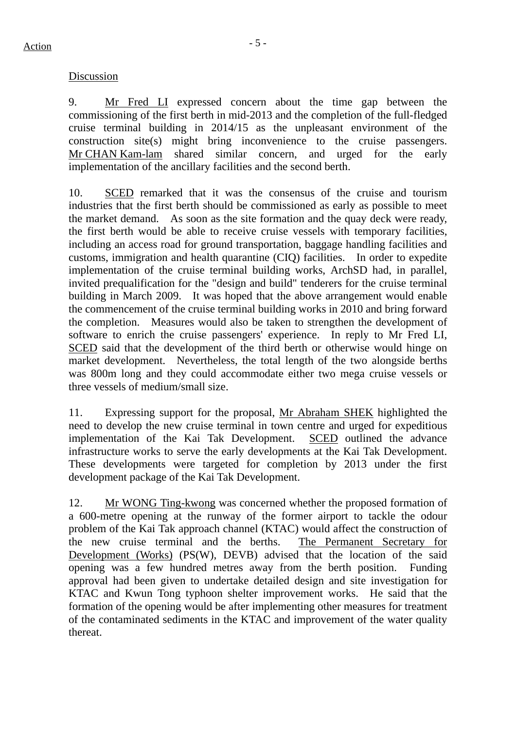### Discussion

9. Mr Fred LI expressed concern about the time gap between the commissioning of the first berth in mid-2013 and the completion of the full-fledged cruise terminal building in 2014/15 as the unpleasant environment of the construction site(s) might bring inconvenience to the cruise passengers. Mr CHAN Kam-lam shared similar concern, and urged for the early implementation of the ancillary facilities and the second berth.

10. SCED remarked that it was the consensus of the cruise and tourism industries that the first berth should be commissioned as early as possible to meet the market demand. As soon as the site formation and the quay deck were ready, the first berth would be able to receive cruise vessels with temporary facilities, including an access road for ground transportation, baggage handling facilities and customs, immigration and health quarantine (CIQ) facilities. In order to expedite implementation of the cruise terminal building works, ArchSD had, in parallel, invited prequalification for the "design and build" tenderers for the cruise terminal building in March 2009. It was hoped that the above arrangement would enable the commencement of the cruise terminal building works in 2010 and bring forward the completion. Measures would also be taken to strengthen the development of software to enrich the cruise passengers' experience. In reply to Mr Fred LI, SCED said that the development of the third berth or otherwise would hinge on market development. Nevertheless, the total length of the two alongside berths was 800m long and they could accommodate either two mega cruise vessels or three vessels of medium/small size.

11. Expressing support for the proposal, Mr Abraham SHEK highlighted the need to develop the new cruise terminal in town centre and urged for expeditious implementation of the Kai Tak Development. SCED outlined the advance infrastructure works to serve the early developments at the Kai Tak Development. These developments were targeted for completion by 2013 under the first development package of the Kai Tak Development.

12. Mr WONG Ting-kwong was concerned whether the proposed formation of a 600-metre opening at the runway of the former airport to tackle the odour problem of the Kai Tak approach channel (KTAC) would affect the construction of the new cruise terminal and the berths. The Permanent Secretary for Development (Works) (PS(W), DEVB) advised that the location of the said opening was a few hundred metres away from the berth position. Funding approval had been given to undertake detailed design and site investigation for KTAC and Kwun Tong typhoon shelter improvement works. He said that the formation of the opening would be after implementing other measures for treatment of the contaminated sediments in the KTAC and improvement of the water quality thereat.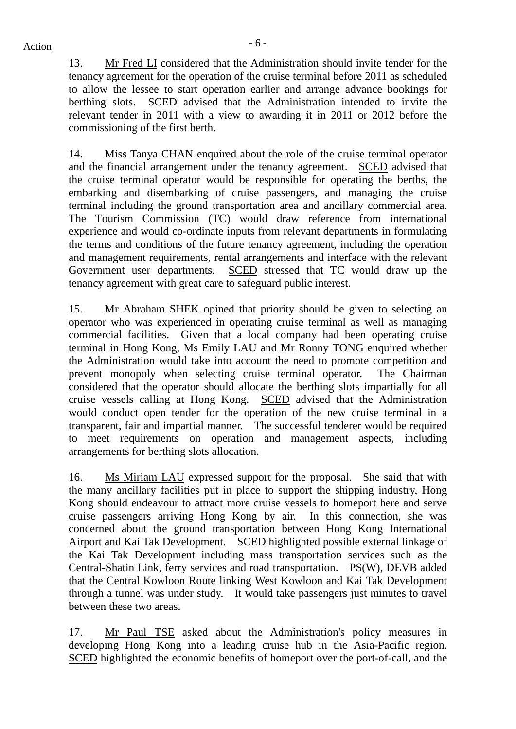13. Mr Fred LI considered that the Administration should invite tender for the tenancy agreement for the operation of the cruise terminal before 2011 as scheduled to allow the lessee to start operation earlier and arrange advance bookings for berthing slots. SCED advised that the Administration intended to invite the relevant tender in 2011 with a view to awarding it in 2011 or 2012 before the commissioning of the first berth.

14. Miss Tanya CHAN enquired about the role of the cruise terminal operator and the financial arrangement under the tenancy agreement. SCED advised that the cruise terminal operator would be responsible for operating the berths, the embarking and disembarking of cruise passengers, and managing the cruise terminal including the ground transportation area and ancillary commercial area. The Tourism Commission (TC) would draw reference from international experience and would co-ordinate inputs from relevant departments in formulating the terms and conditions of the future tenancy agreement, including the operation and management requirements, rental arrangements and interface with the relevant Government user departments. SCED stressed that TC would draw up the tenancy agreement with great care to safeguard public interest.

15. Mr Abraham SHEK opined that priority should be given to selecting an operator who was experienced in operating cruise terminal as well as managing commercial facilities. Given that a local company had been operating cruise terminal in Hong Kong, Ms Emily LAU and Mr Ronny TONG enquired whether the Administration would take into account the need to promote competition and prevent monopoly when selecting cruise terminal operator. The Chairman considered that the operator should allocate the berthing slots impartially for all cruise vessels calling at Hong Kong. SCED advised that the Administration would conduct open tender for the operation of the new cruise terminal in a transparent, fair and impartial manner. The successful tenderer would be required to meet requirements on operation and management aspects, including arrangements for berthing slots allocation.

16. Ms Miriam LAU expressed support for the proposal. She said that with the many ancillary facilities put in place to support the shipping industry, Hong Kong should endeavour to attract more cruise vessels to homeport here and serve cruise passengers arriving Hong Kong by air. In this connection, she was concerned about the ground transportation between Hong Kong International Airport and Kai Tak Development. SCED highlighted possible external linkage of the Kai Tak Development including mass transportation services such as the Central-Shatin Link, ferry services and road transportation. PS(W), DEVB added that the Central Kowloon Route linking West Kowloon and Kai Tak Development through a tunnel was under study. It would take passengers just minutes to travel between these two areas.

17. Mr Paul TSE asked about the Administration's policy measures in developing Hong Kong into a leading cruise hub in the Asia-Pacific region. SCED highlighted the economic benefits of homeport over the port-of-call, and the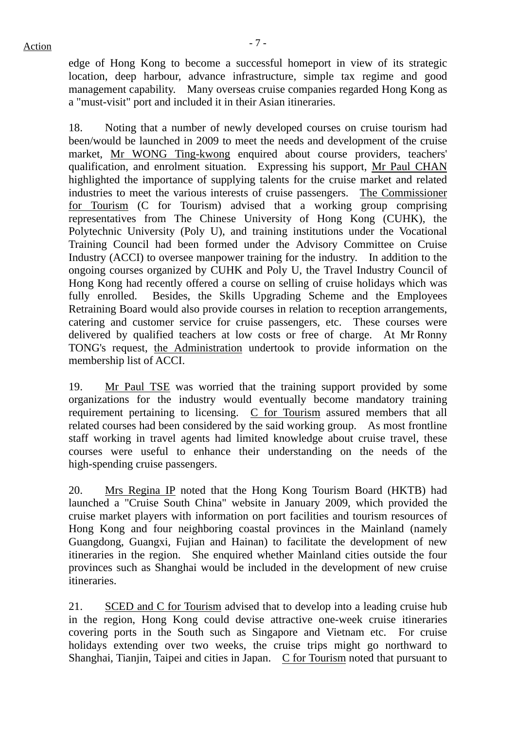edge of Hong Kong to become a successful homeport in view of its strategic location, deep harbour, advance infrastructure, simple tax regime and good management capability. Many overseas cruise companies regarded Hong Kong as a "must-visit" port and included it in their Asian itineraries.

18. Noting that a number of newly developed courses on cruise tourism had been/would be launched in 2009 to meet the needs and development of the cruise market, Mr WONG Ting-kwong enquired about course providers, teachers' qualification, and enrolment situation. Expressing his support, Mr Paul CHAN highlighted the importance of supplying talents for the cruise market and related industries to meet the various interests of cruise passengers. The Commissioner for Tourism (C for Tourism) advised that a working group comprising representatives from The Chinese University of Hong Kong (CUHK), the Polytechnic University (Poly U), and training institutions under the Vocational Training Council had been formed under the Advisory Committee on Cruise Industry (ACCI) to oversee manpower training for the industry. In addition to the ongoing courses organized by CUHK and Poly U, the Travel Industry Council of Hong Kong had recently offered a course on selling of cruise holidays which was fully enrolled. Besides, the Skills Upgrading Scheme and the Employees Retraining Board would also provide courses in relation to reception arrangements, catering and customer service for cruise passengers, etc. These courses were delivered by qualified teachers at low costs or free of charge. At Mr Ronny TONG's request, the Administration undertook to provide information on the membership list of ACCI.

19. Mr Paul TSE was worried that the training support provided by some organizations for the industry would eventually become mandatory training requirement pertaining to licensing. C for Tourism assured members that all related courses had been considered by the said working group. As most frontline staff working in travel agents had limited knowledge about cruise travel, these courses were useful to enhance their understanding on the needs of the high-spending cruise passengers.

20. Mrs Regina IP noted that the Hong Kong Tourism Board (HKTB) had launched a "Cruise South China" website in January 2009, which provided the cruise market players with information on port facilities and tourism resources of Hong Kong and four neighboring coastal provinces in the Mainland (namely Guangdong, Guangxi, Fujian and Hainan) to facilitate the development of new itineraries in the region. She enquired whether Mainland cities outside the four provinces such as Shanghai would be included in the development of new cruise itineraries.

21. SCED and C for Tourism advised that to develop into a leading cruise hub in the region, Hong Kong could devise attractive one-week cruise itineraries covering ports in the South such as Singapore and Vietnam etc. For cruise holidays extending over two weeks, the cruise trips might go northward to Shanghai, Tianjin, Taipei and cities in Japan. C for Tourism noted that pursuant to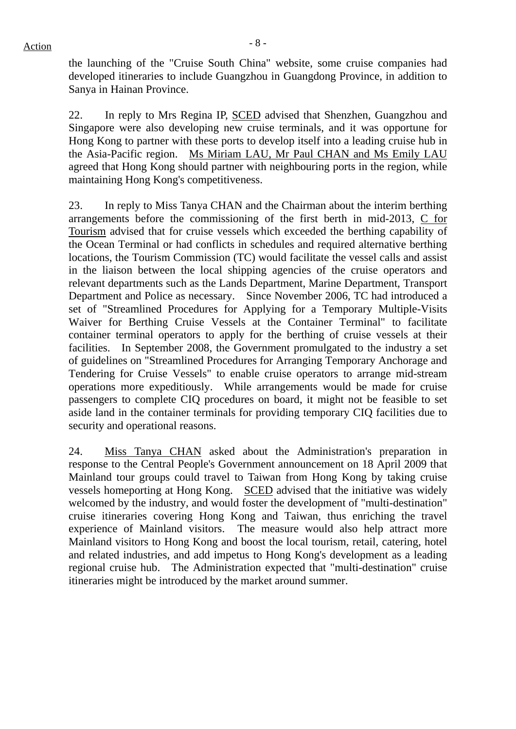the launching of the "Cruise South China" website, some cruise companies had developed itineraries to include Guangzhou in Guangdong Province, in addition to Sanya in Hainan Province.

22. In reply to Mrs Regina IP, SCED advised that Shenzhen, Guangzhou and Singapore were also developing new cruise terminals, and it was opportune for Hong Kong to partner with these ports to develop itself into a leading cruise hub in the Asia-Pacific region. Ms Miriam LAU, Mr Paul CHAN and Ms Emily LAU agreed that Hong Kong should partner with neighbouring ports in the region, while maintaining Hong Kong's competitiveness.

23. In reply to Miss Tanya CHAN and the Chairman about the interim berthing arrangements before the commissioning of the first berth in mid-2013, C for Tourism advised that for cruise vessels which exceeded the berthing capability of the Ocean Terminal or had conflicts in schedules and required alternative berthing locations, the Tourism Commission (TC) would facilitate the vessel calls and assist in the liaison between the local shipping agencies of the cruise operators and relevant departments such as the Lands Department, Marine Department, Transport Department and Police as necessary. Since November 2006, TC had introduced a set of "Streamlined Procedures for Applying for a Temporary Multiple-Visits Waiver for Berthing Cruise Vessels at the Container Terminal" to facilitate container terminal operators to apply for the berthing of cruise vessels at their facilities. In September 2008, the Government promulgated to the industry a set of guidelines on "Streamlined Procedures for Arranging Temporary Anchorage and Tendering for Cruise Vessels" to enable cruise operators to arrange mid-stream operations more expeditiously. While arrangements would be made for cruise passengers to complete CIQ procedures on board, it might not be feasible to set aside land in the container terminals for providing temporary CIQ facilities due to security and operational reasons.

24. Miss Tanya CHAN asked about the Administration's preparation in response to the Central People's Government announcement on 18 April 2009 that Mainland tour groups could travel to Taiwan from Hong Kong by taking cruise vessels homeporting at Hong Kong. SCED advised that the initiative was widely welcomed by the industry, and would foster the development of "multi-destination" cruise itineraries covering Hong Kong and Taiwan, thus enriching the travel experience of Mainland visitors. The measure would also help attract more Mainland visitors to Hong Kong and boost the local tourism, retail, catering, hotel and related industries, and add impetus to Hong Kong's development as a leading regional cruise hub. The Administration expected that "multi-destination" cruise itineraries might be introduced by the market around summer.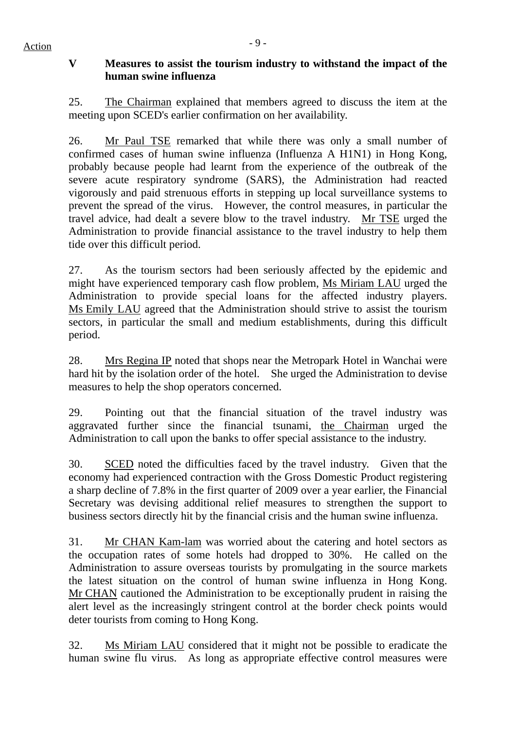# $Action$

# **V Measures to assist the tourism industry to withstand the impact of the human swine influenza**

25. The Chairman explained that members agreed to discuss the item at the meeting upon SCED's earlier confirmation on her availability.

26. Mr Paul TSE remarked that while there was only a small number of confirmed cases of human swine influenza (Influenza A H1N1) in Hong Kong, probably because people had learnt from the experience of the outbreak of the severe acute respiratory syndrome (SARS), the Administration had reacted vigorously and paid strenuous efforts in stepping up local surveillance systems to prevent the spread of the virus. However, the control measures, in particular the travel advice, had dealt a severe blow to the travel industry. Mr TSE urged the Administration to provide financial assistance to the travel industry to help them tide over this difficult period.

27. As the tourism sectors had been seriously affected by the epidemic and might have experienced temporary cash flow problem, Ms Miriam LAU urged the Administration to provide special loans for the affected industry players. Ms Emily LAU agreed that the Administration should strive to assist the tourism sectors, in particular the small and medium establishments, during this difficult period.

28. Mrs Regina IP noted that shops near the Metropark Hotel in Wanchai were hard hit by the isolation order of the hotel. She urged the Administration to devise measures to help the shop operators concerned.

29. Pointing out that the financial situation of the travel industry was aggravated further since the financial tsunami, the Chairman urged the Administration to call upon the banks to offer special assistance to the industry.

30. SCED noted the difficulties faced by the travel industry. Given that the economy had experienced contraction with the Gross Domestic Product registering a sharp decline of 7.8% in the first quarter of 2009 over a year earlier, the Financial Secretary was devising additional relief measures to strengthen the support to business sectors directly hit by the financial crisis and the human swine influenza.

31. Mr CHAN Kam-lam was worried about the catering and hotel sectors as the occupation rates of some hotels had dropped to 30%. He called on the Administration to assure overseas tourists by promulgating in the source markets the latest situation on the control of human swine influenza in Hong Kong. Mr CHAN cautioned the Administration to be exceptionally prudent in raising the alert level as the increasingly stringent control at the border check points would deter tourists from coming to Hong Kong.

32. Ms Miriam LAU considered that it might not be possible to eradicate the human swine flu virus. As long as appropriate effective control measures were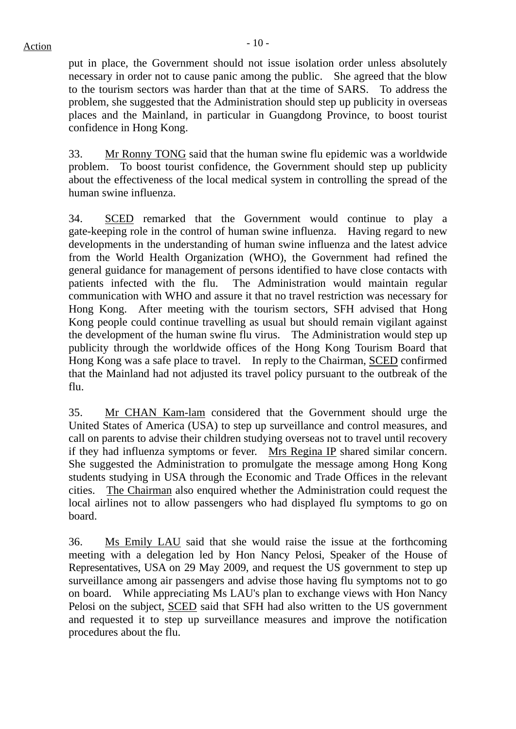$Action$ 

put in place, the Government should not issue isolation order unless absolutely necessary in order not to cause panic among the public. She agreed that the blow to the tourism sectors was harder than that at the time of SARS. To address the problem, she suggested that the Administration should step up publicity in overseas places and the Mainland, in particular in Guangdong Province, to boost tourist confidence in Hong Kong.

33. Mr Ronny TONG said that the human swine flu epidemic was a worldwide problem. To boost tourist confidence, the Government should step up publicity about the effectiveness of the local medical system in controlling the spread of the human swine influenza.

34. SCED remarked that the Government would continue to play a gate-keeping role in the control of human swine influenza. Having regard to new developments in the understanding of human swine influenza and the latest advice from the World Health Organization (WHO), the Government had refined the general guidance for management of persons identified to have close contacts with patients infected with the flu. The Administration would maintain regular communication with WHO and assure it that no travel restriction was necessary for Hong Kong. After meeting with the tourism sectors, SFH advised that Hong Kong people could continue travelling as usual but should remain vigilant against the development of the human swine flu virus. The Administration would step up publicity through the worldwide offices of the Hong Kong Tourism Board that Hong Kong was a safe place to travel. In reply to the Chairman, SCED confirmed that the Mainland had not adjusted its travel policy pursuant to the outbreak of the flu.

35. Mr CHAN Kam-lam considered that the Government should urge the United States of America (USA) to step up surveillance and control measures, and call on parents to advise their children studying overseas not to travel until recovery if they had influenza symptoms or fever. Mrs Regina IP shared similar concern. She suggested the Administration to promulgate the message among Hong Kong students studying in USA through the Economic and Trade Offices in the relevant cities. The Chairman also enquired whether the Administration could request the local airlines not to allow passengers who had displayed flu symptoms to go on board.

36. Ms Emily LAU said that she would raise the issue at the forthcoming meeting with a delegation led by Hon Nancy Pelosi, Speaker of the House of Representatives, USA on 29 May 2009, and request the US government to step up surveillance among air passengers and advise those having flu symptoms not to go on board. While appreciating Ms LAU's plan to exchange views with Hon Nancy Pelosi on the subject, SCED said that SFH had also written to the US government and requested it to step up surveillance measures and improve the notification procedures about the flu.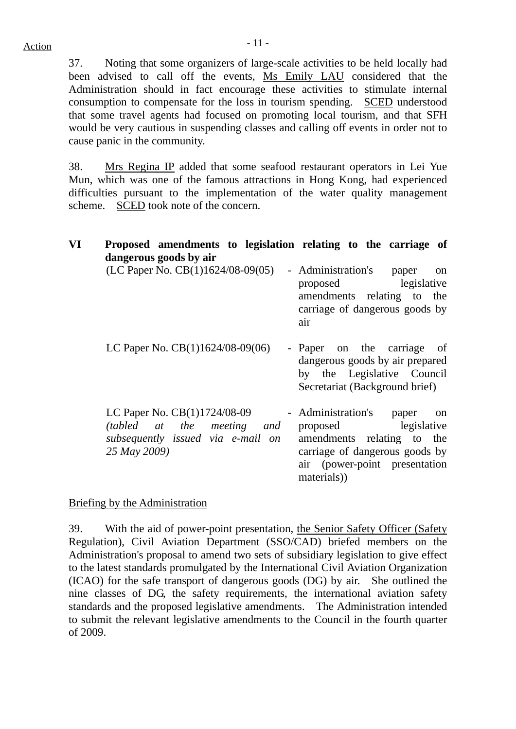37. Noting that some organizers of large-scale activities to be held locally had been advised to call off the events, Ms Emily LAU considered that the Administration should in fact encourage these activities to stimulate internal consumption to compensate for the loss in tourism spending. SCED understood that some travel agents had focused on promoting local tourism, and that SFH would be very cautious in suspending classes and calling off events in order not to cause panic in the community.

38. Mrs Regina IP added that some seafood restaurant operators in Lei Yue Mun, which was one of the famous attractions in Hong Kong, had experienced difficulties pursuant to the implementation of the water quality management scheme. SCED took note of the concern.

| VI | Proposed amendments to legislation relating to the carriage of                                                  |                                                                                                                                                                          |
|----|-----------------------------------------------------------------------------------------------------------------|--------------------------------------------------------------------------------------------------------------------------------------------------------------------------|
|    | dangerous goods by air<br>(LC Paper No. $CB(1)1624/08-09(05)$                                                   | - Administration's<br>paper<br>on<br>proposed legislative<br>amendments relating to the<br>carriage of dangerous goods by<br>air                                         |
|    | LC Paper No. $CB(1)1624/08-09(06)$                                                                              | - Paper on the carriage of<br>dangerous goods by air prepared<br>by the Legislative Council<br>Secretariat (Background brief)                                            |
|    | LC Paper No. CB(1)1724/08-09<br>(tabled at the meeting and<br>subsequently issued via e-mail on<br>25 May 2009) | - Administration's<br>paper<br>on<br>proposed legislative<br>amendments relating to the<br>carriage of dangerous goods by<br>air (power-point presentation<br>materials) |

Briefing by the Administration

39. With the aid of power-point presentation, the Senior Safety Officer (Safety Regulation), Civil Aviation Department (SSO/CAD) briefed members on the Administration's proposal to amend two sets of subsidiary legislation to give effect to the latest standards promulgated by the International Civil Aviation Organization (ICAO) for the safe transport of dangerous goods (DG) by air. She outlined the nine classes of DG, the safety requirements, the international aviation safety standards and the proposed legislative amendments. The Administration intended to submit the relevant legislative amendments to the Council in the fourth quarter of 2009.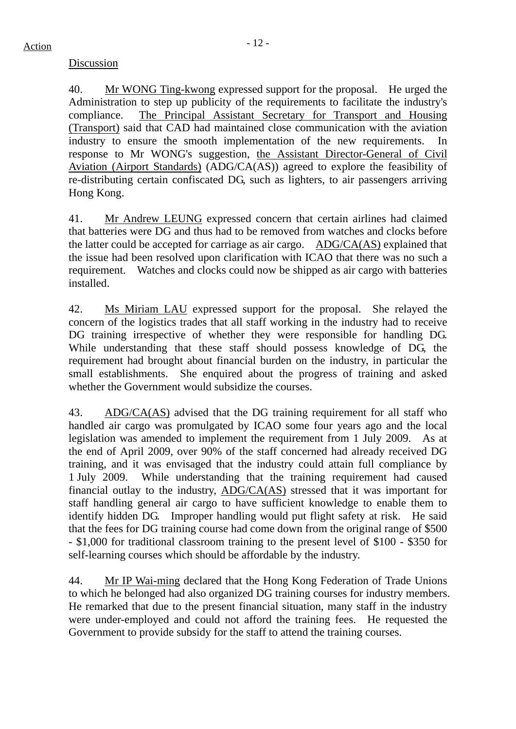# Discussion

40. Mr WONG Ting-kwong expressed support for the proposal. He urged the Administration to step up publicity of the requirements to facilitate the industry's compliance. The Principal Assistant Secretary for Transport and Housing (Transport) said that CAD had maintained close communication with the aviation industry to ensure the smooth implementation of the new requirements. In response to Mr WONG's suggestion, the Assistant Director-General of Civil Aviation (Airport Standards) (ADG/CA(AS)) agreed to explore the feasibility of re-distributing certain confiscated DG, such as lighters, to air passengers arriving Hong Kong.

41. Mr Andrew LEUNG expressed concern that certain airlines had claimed that batteries were DG and thus had to be removed from watches and clocks before the latter could be accepted for carriage as air cargo. ADG/CA(AS) explained that the issue had been resolved upon clarification with ICAO that there was no such a requirement. Watches and clocks could now be shipped as air cargo with batteries installed.

42. Ms Miriam LAU expressed support for the proposal. She relayed the concern of the logistics trades that all staff working in the industry had to receive DG training irrespective of whether they were responsible for handling DG. While understanding that these staff should possess knowledge of DG, the requirement had brought about financial burden on the industry, in particular the small establishments. She enquired about the progress of training and asked whether the Government would subsidize the courses.

43. ADG/CA(AS) advised that the DG training requirement for all staff who handled air cargo was promulgated by ICAO some four years ago and the local legislation was amended to implement the requirement from 1 July 2009. As at the end of April 2009, over 90% of the staff concerned had already received DG training, and it was envisaged that the industry could attain full compliance by 1 July 2009. While understanding that the training requirement had caused financial outlay to the industry, ADG/CA(AS) stressed that it was important for staff handling general air cargo to have sufficient knowledge to enable them to identify hidden DG. Improper handling would put flight safety at risk. He said that the fees for DG training course had come down from the original range of \$500 - \$1,000 for traditional classroom training to the present level of \$100 - \$350 for self-learning courses which should be affordable by the industry.

44. Mr IP Wai-ming declared that the Hong Kong Federation of Trade Unions to which he belonged had also organized DG training courses for industry members. He remarked that due to the present financial situation, many staff in the industry were under-employed and could not afford the training fees. He requested the Government to provide subsidy for the staff to attend the training courses.